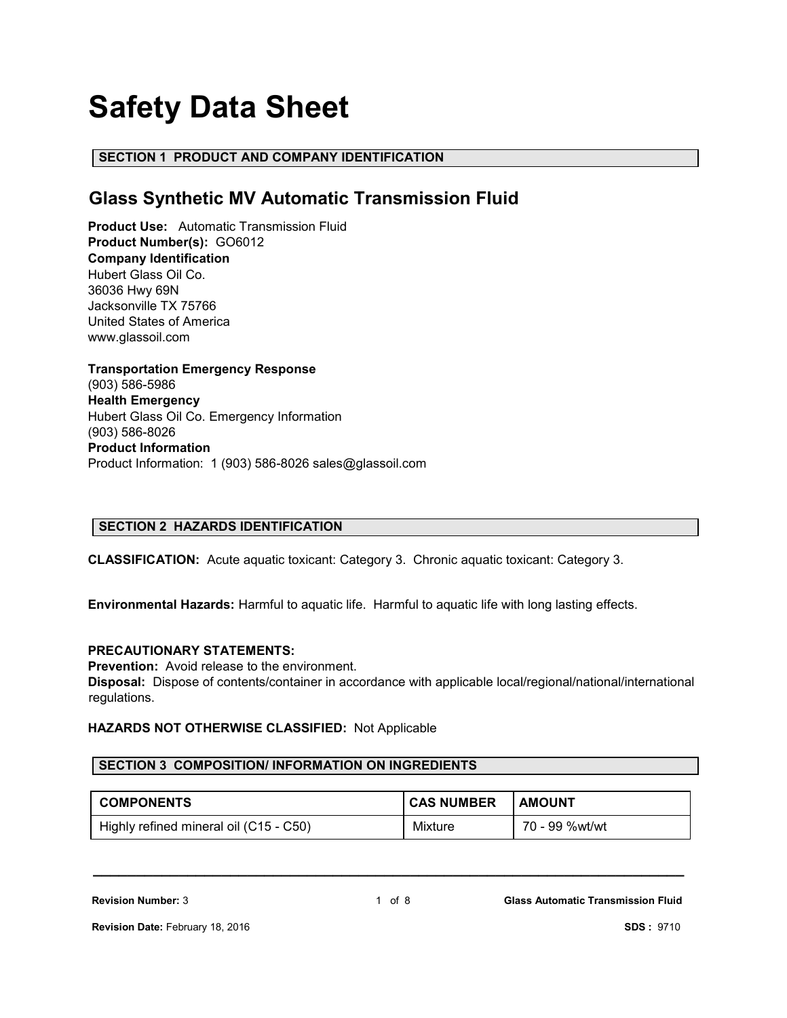# **Safety Data Sheet**

# **SECTION 1 PRODUCT AND COMPANY IDENTIFICATION**

# **Glass Synthetic MV Automatic Transmission Fluid**

**Product Use:** Automatic Transmission Fluid **Product Number(s):** GO6012 **Company Identification** Hubert Glass Oil Co. 36036 Hwy 69N Jacksonville TX 75766 United States of America www.glassoil.com

**Transportation Emergency Response** (903) 586-5986 **Health Emergency** Hubert Glass Oil Co. Emergency Information (903) 586-8026 **Product Information**  Product Information: 1 (903) 586-8026 sales@glassoil.com

# **SECTION 2 HAZARDS IDENTIFICATION**

**CLASSIFICATION:** Acute aquatic toxicant: Category 3. Chronic aquatic toxicant: Category 3.

**Environmental Hazards:** Harmful to aquatic life. Harmful to aquatic life with long lasting effects.

# **PRECAUTIONARY STATEMENTS:**

**Prevention:** Avoid release to the environment.

**Disposal:** Dispose of contents/container in accordance with applicable local/regional/national/international regulations.

# **HAZARDS NOT OTHERWISE CLASSIFIED:** Not Applicable

# **SECTION 3 COMPOSITION/ INFORMATION ON INGREDIENTS**

| <b>COMPONENTS</b>                      | <b>CAS NUMBER</b> | <b>AMOUNT</b>  |
|----------------------------------------|-------------------|----------------|
| Highly refined mineral oil (C15 - C50) | Mixture           | 70 - 99 %wt/wt |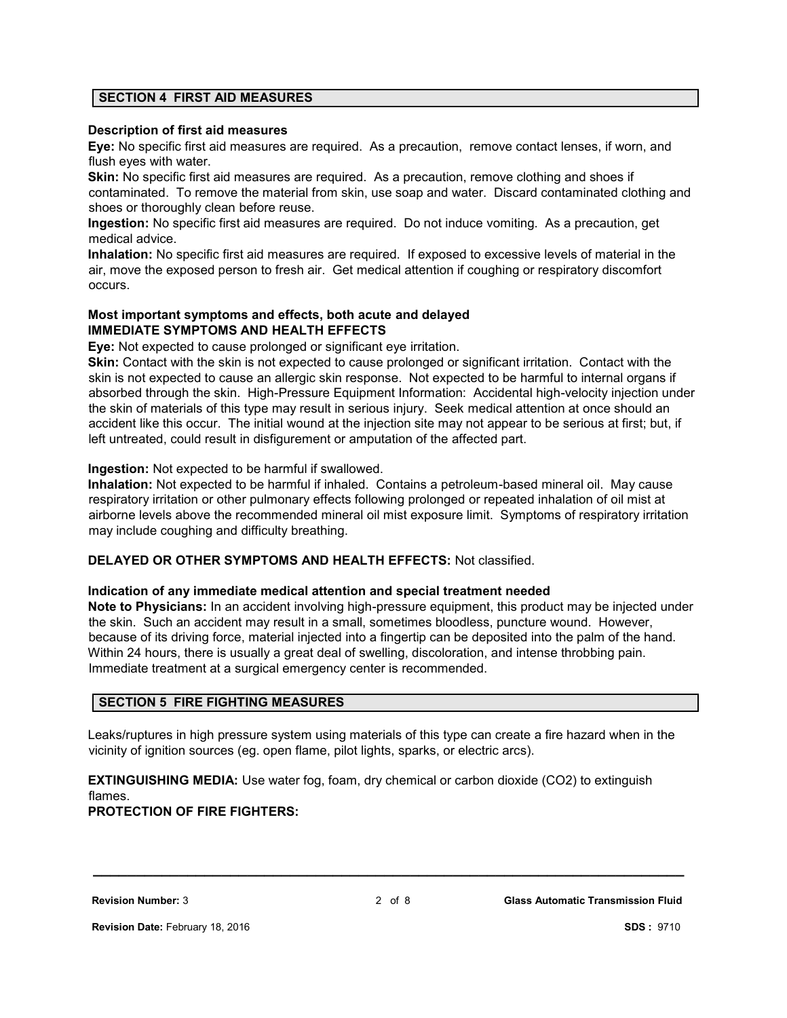# **SECTION 4 FIRST AID MEASURES**

#### **Description of first aid measures**

**Eye:** No specific first aid measures are required. As a precaution, remove contact lenses, if worn, and flush eyes with water.

**Skin:** No specific first aid measures are required. As a precaution, remove clothing and shoes if contaminated. To remove the material from skin, use soap and water. Discard contaminated clothing and shoes or thoroughly clean before reuse.

**Ingestion:** No specific first aid measures are required. Do not induce vomiting. As a precaution, get medical advice.

**Inhalation:** No specific first aid measures are required. If exposed to excessive levels of material in the air, move the exposed person to fresh air. Get medical attention if coughing or respiratory discomfort occurs.

# **Most important symptoms and effects, both acute and delayed IMMEDIATE SYMPTOMS AND HEALTH EFFECTS**

**Eye:** Not expected to cause prolonged or significant eye irritation.

**Skin:** Contact with the skin is not expected to cause prolonged or significant irritation. Contact with the skin is not expected to cause an allergic skin response. Not expected to be harmful to internal organs if absorbed through the skin. High-Pressure Equipment Information: Accidental high-velocity injection under the skin of materials of this type may result in serious injury. Seek medical attention at once should an accident like this occur. The initial wound at the injection site may not appear to be serious at first; but, if left untreated, could result in disfigurement or amputation of the affected part.

### **Ingestion:** Not expected to be harmful if swallowed.

**Inhalation:** Not expected to be harmful if inhaled. Contains a petroleum-based mineral oil. May cause respiratory irritation or other pulmonary effects following prolonged or repeated inhalation of oil mist at airborne levels above the recommended mineral oil mist exposure limit. Symptoms of respiratory irritation may include coughing and difficulty breathing.

### **DELAYED OR OTHER SYMPTOMS AND HEALTH EFFECTS:** Not classified.

#### **Indication of any immediate medical attention and special treatment needed**

**Note to Physicians:** In an accident involving high-pressure equipment, this product may be injected under the skin. Such an accident may result in a small, sometimes bloodless, puncture wound. However, because of its driving force, material injected into a fingertip can be deposited into the palm of the hand. Within 24 hours, there is usually a great deal of swelling, discoloration, and intense throbbing pain. Immediate treatment at a surgical emergency center is recommended.

# **SECTION 5 FIRE FIGHTING MEASURES**

Leaks/ruptures in high pressure system using materials of this type can create a fire hazard when in the vicinity of ignition sources (eg. open flame, pilot lights, sparks, or electric arcs).

**EXTINGUISHING MEDIA:** Use water fog, foam, dry chemical or carbon dioxide (CO2) to extinguish flames.

### **PROTECTION OF FIRE FIGHTERS:**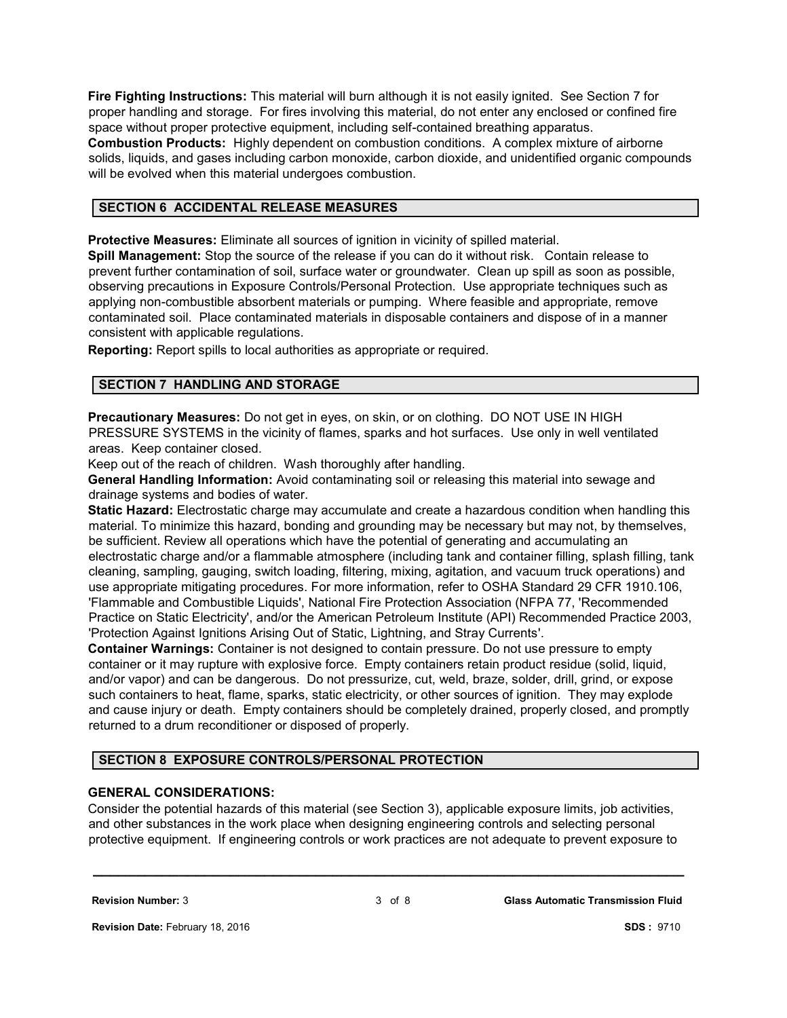**Fire Fighting Instructions:** This material will burn although it is not easily ignited. See Section 7 for proper handling and storage. For fires involving this material, do not enter any enclosed or confined fire space without proper protective equipment, including self-contained breathing apparatus. **Combustion Products:** Highly dependent on combustion conditions. A complex mixture of airborne solids, liquids, and gases including carbon monoxide, carbon dioxide, and unidentified organic compounds will be evolved when this material undergoes combustion.

# **SECTION 6 ACCIDENTAL RELEASE MEASURES**

**Protective Measures:** Eliminate all sources of ignition in vicinity of spilled material.

**Spill Management:** Stop the source of the release if you can do it without risk. Contain release to prevent further contamination of soil, surface water or groundwater. Clean up spill as soon as possible, observing precautions in Exposure Controls/Personal Protection. Use appropriate techniques such as applying non-combustible absorbent materials or pumping. Where feasible and appropriate, remove contaminated soil. Place contaminated materials in disposable containers and dispose of in a manner consistent with applicable regulations.

**Reporting:** Report spills to local authorities as appropriate or required.

### **SECTION 7 HANDLING AND STORAGE**

**Precautionary Measures:** Do not get in eyes, on skin, or on clothing. DO NOT USE IN HIGH PRESSURE SYSTEMS in the vicinity of flames, sparks and hot surfaces. Use only in well ventilated areas. Keep container closed.

Keep out of the reach of children. Wash thoroughly after handling.

**General Handling Information:** Avoid contaminating soil or releasing this material into sewage and drainage systems and bodies of water.

**Static Hazard:** Electrostatic charge may accumulate and create a hazardous condition when handling this material. To minimize this hazard, bonding and grounding may be necessary but may not, by themselves, be sufficient. Review all operations which have the potential of generating and accumulating an electrostatic charge and/or a flammable atmosphere (including tank and container filling, splash filling, tank cleaning, sampling, gauging, switch loading, filtering, mixing, agitation, and vacuum truck operations) and use appropriate mitigating procedures. For more information, refer to OSHA Standard 29 CFR 1910.106, 'Flammable and Combustible Liquids', National Fire Protection Association (NFPA 77, 'Recommended Practice on Static Electricity', and/or the American Petroleum Institute (API) Recommended Practice 2003, 'Protection Against Ignitions Arising Out of Static, Lightning, and Stray Currents'.

**Container Warnings:** Container is not designed to contain pressure. Do not use pressure to empty container or it may rupture with explosive force. Empty containers retain product residue (solid, liquid, and/or vapor) and can be dangerous. Do not pressurize, cut, weld, braze, solder, drill, grind, or expose such containers to heat, flame, sparks, static electricity, or other sources of ignition. They may explode and cause injury or death. Empty containers should be completely drained, properly closed, and promptly returned to a drum reconditioner or disposed of properly.

# **SECTION 8 EXPOSURE CONTROLS/PERSONAL PROTECTION**

# **GENERAL CONSIDERATIONS:**

Consider the potential hazards of this material (see Section 3), applicable exposure limits, job activities, and other substances in the work place when designing engineering controls and selecting personal protective equipment. If engineering controls or work practices are not adequate to prevent exposure to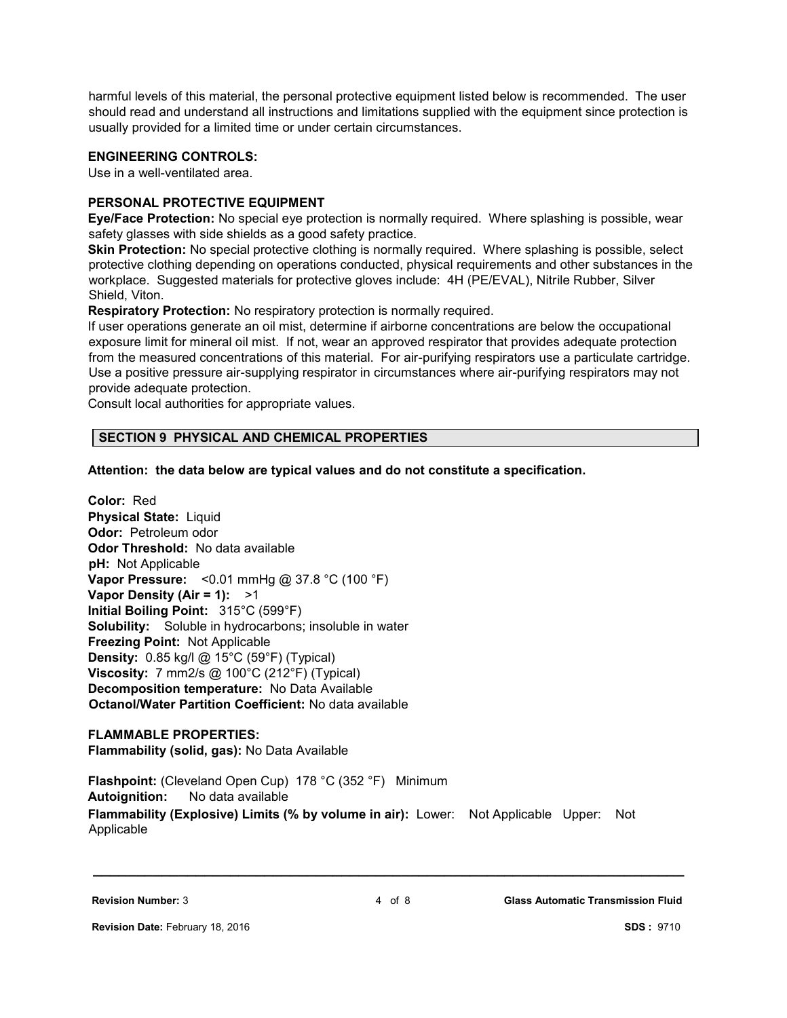harmful levels of this material, the personal protective equipment listed below is recommended. The user should read and understand all instructions and limitations supplied with the equipment since protection is usually provided for a limited time or under certain circumstances.

# **ENGINEERING CONTROLS:**

Use in a well-ventilated area.

# **PERSONAL PROTECTIVE EQUIPMENT**

**Eye/Face Protection:** No special eye protection is normally required. Where splashing is possible, wear safety glasses with side shields as a good safety practice.

**Skin Protection:** No special protective clothing is normally required. Where splashing is possible, select protective clothing depending on operations conducted, physical requirements and other substances in the workplace. Suggested materials for protective gloves include: 4H (PE/EVAL), Nitrile Rubber, Silver Shield, Viton.

**Respiratory Protection:** No respiratory protection is normally required.

If user operations generate an oil mist, determine if airborne concentrations are below the occupational exposure limit for mineral oil mist. If not, wear an approved respirator that provides adequate protection from the measured concentrations of this material. For air-purifying respirators use a particulate cartridge. Use a positive pressure air-supplying respirator in circumstances where air-purifying respirators may not provide adequate protection.

Consult local authorities for appropriate values.

### **SECTION 9 PHYSICAL AND CHEMICAL PROPERTIES**

**Attention: the data below are typical values and do not constitute a specification.**

**Color:** Red **Physical State:** Liquid **Odor:** Petroleum odor **Odor Threshold:** No data available **pH:** Not Applicable **Vapor Pressure:** <0.01 mmHg @ 37.8 °C (100 °F) **Vapor Density (Air = 1):** >1 **Initial Boiling Point:** 315°C (599°F) **Solubility:** Soluble in hydrocarbons; insoluble in water **Freezing Point:** Not Applicable **Density:** 0.85 kg/l @ 15°C (59°F) (Typical) **Viscosity:** 7 mm2/s @ 100°C (212°F) (Typical) **Decomposition temperature:** No Data Available **Octanol/Water Partition Coefficient:** No data available

**FLAMMABLE PROPERTIES: Flammability (solid, gas):** No Data Available

**Flashpoint:** (Cleveland Open Cup) 178 °C (352 °F) Minimum **Autoignition:** No data available **Flammability (Explosive) Limits (% by volume in air):** Lower: Not Applicable Upper: Not Applicable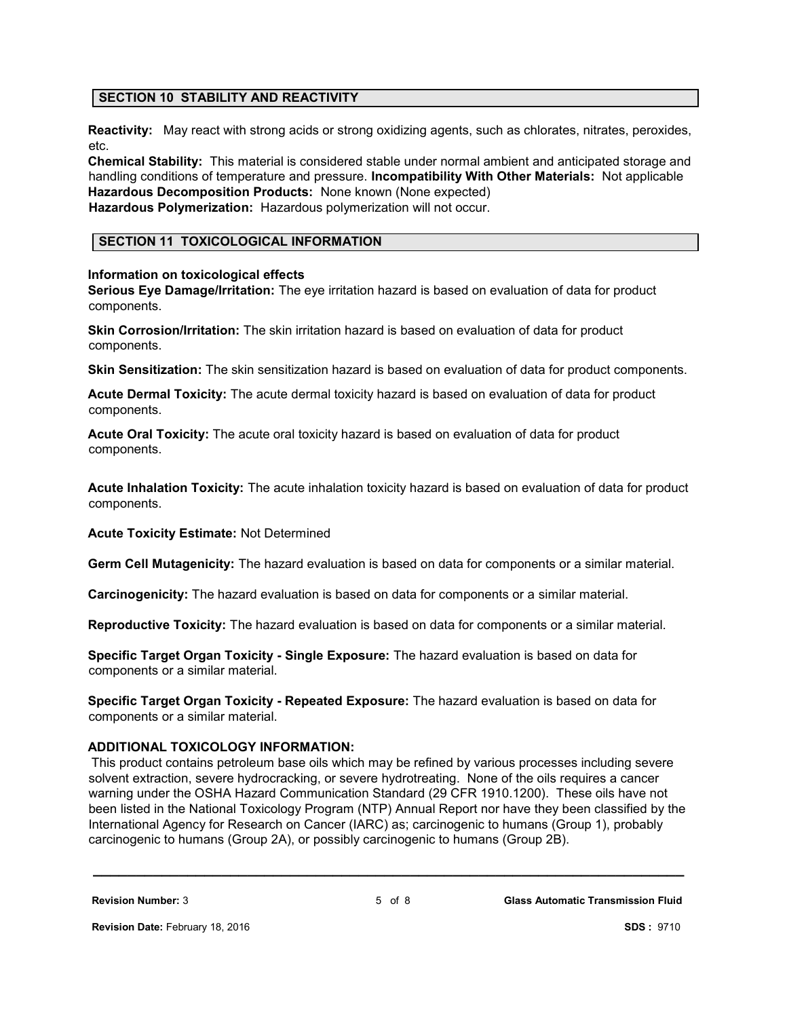# **SECTION 10 STABILITY AND REACTIVITY**

**Reactivity:** May react with strong acids or strong oxidizing agents, such as chlorates, nitrates, peroxides, etc.

**Chemical Stability:** This material is considered stable under normal ambient and anticipated storage and handling conditions of temperature and pressure. **Incompatibility With Other Materials:** Not applicable **Hazardous Decomposition Products:** None known (None expected)

**Hazardous Polymerization:** Hazardous polymerization will not occur.

# **SECTION 11 TOXICOLOGICAL INFORMATION**

### **Information on toxicological effects**

**Serious Eye Damage/Irritation:** The eye irritation hazard is based on evaluation of data for product components.

**Skin Corrosion/Irritation:** The skin irritation hazard is based on evaluation of data for product components.

**Skin Sensitization:** The skin sensitization hazard is based on evaluation of data for product components.

**Acute Dermal Toxicity:** The acute dermal toxicity hazard is based on evaluation of data for product components.

**Acute Oral Toxicity:** The acute oral toxicity hazard is based on evaluation of data for product components.

**Acute Inhalation Toxicity:** The acute inhalation toxicity hazard is based on evaluation of data for product components.

**Acute Toxicity Estimate:** Not Determined

**Germ Cell Mutagenicity:** The hazard evaluation is based on data for components or a similar material.

**Carcinogenicity:** The hazard evaluation is based on data for components or a similar material.

**Reproductive Toxicity:** The hazard evaluation is based on data for components or a similar material.

**Specific Target Organ Toxicity - Single Exposure:** The hazard evaluation is based on data for components or a similar material.

**Specific Target Organ Toxicity - Repeated Exposure:** The hazard evaluation is based on data for components or a similar material.

# **ADDITIONAL TOXICOLOGY INFORMATION:**

This product contains petroleum base oils which may be refined by various processes including severe solvent extraction, severe hydrocracking, or severe hydrotreating. None of the oils requires a cancer warning under the OSHA Hazard Communication Standard (29 CFR 1910.1200). These oils have not been listed in the National Toxicology Program (NTP) Annual Report nor have they been classified by the International Agency for Research on Cancer (IARC) as; carcinogenic to humans (Group 1), probably carcinogenic to humans (Group 2A), or possibly carcinogenic to humans (Group 2B).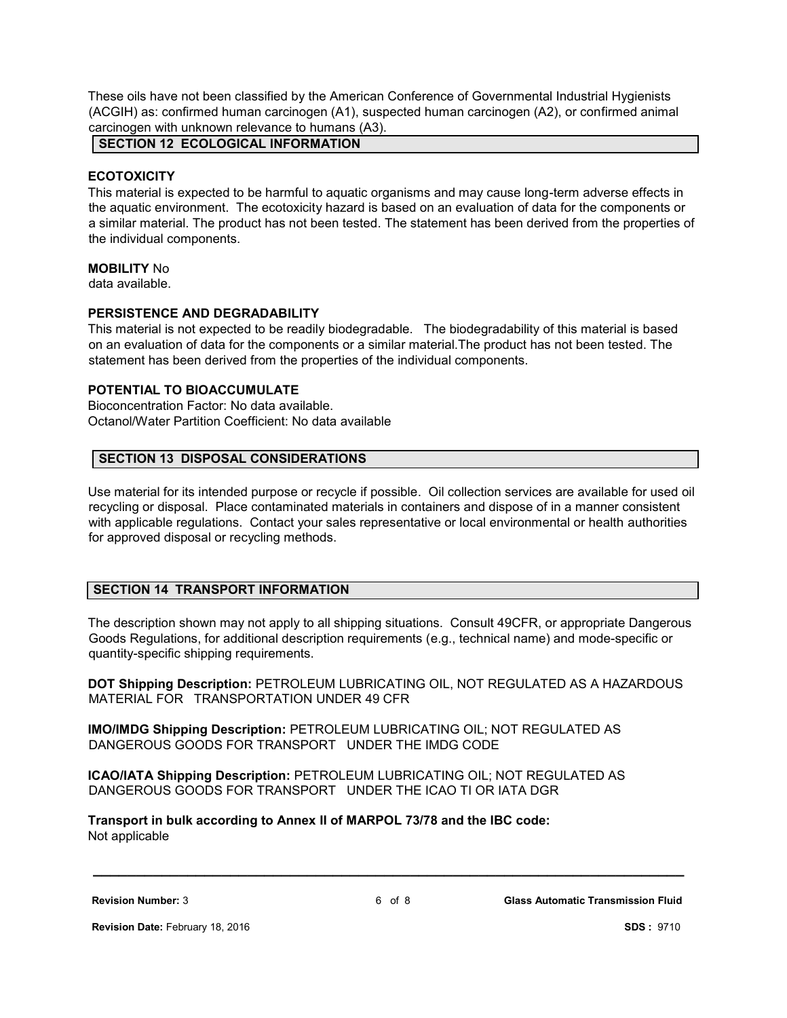These oils have not been classified by the American Conference of Governmental Industrial Hygienists (ACGIH) as: confirmed human carcinogen (A1), suspected human carcinogen (A2), or confirmed animal carcinogen with unknown relevance to humans (A3).

**SECTION 12 ECOLOGICAL INFORMATION**

### **ECOTOXICITY**

This material is expected to be harmful to aquatic organisms and may cause long-term adverse effects in the aquatic environment. The ecotoxicity hazard is based on an evaluation of data for the components or a similar material. The product has not been tested. The statement has been derived from the properties of the individual components.

### **MOBILITY** No

data available.

# **PERSISTENCE AND DEGRADABILITY**

This material is not expected to be readily biodegradable. The biodegradability of this material is based on an evaluation of data for the components or a similar material.The product has not been tested. The statement has been derived from the properties of the individual components.

# **POTENTIAL TO BIOACCUMULATE**

Bioconcentration Factor: No data available. Octanol/Water Partition Coefficient: No data available

# **SECTION 13 DISPOSAL CONSIDERATIONS**

Use material for its intended purpose or recycle if possible. Oil collection services are available for used oil recycling or disposal. Place contaminated materials in containers and dispose of in a manner consistent with applicable regulations. Contact your sales representative or local environmental or health authorities for approved disposal or recycling methods.

# **SECTION 14 TRANSPORT INFORMATION**

The description shown may not apply to all shipping situations. Consult 49CFR, or appropriate Dangerous Goods Regulations, for additional description requirements (e.g., technical name) and mode-specific or quantity-specific shipping requirements.

**DOT Shipping Description:** PETROLEUM LUBRICATING OIL, NOT REGULATED AS A HAZARDOUS MATERIAL FOR TRANSPORTATION UNDER 49 CFR

**IMO/IMDG Shipping Description:** PETROLEUM LUBRICATING OIL; NOT REGULATED AS DANGEROUS GOODS FOR TRANSPORT UNDER THE IMDG CODE

**ICAO/IATA Shipping Description:** PETROLEUM LUBRICATING OIL; NOT REGULATED AS DANGEROUS GOODS FOR TRANSPORT UNDER THE ICAO TI OR IATA DGR

**Transport in bulk according to Annex II of MARPOL 73/78 and the IBC code:** Not applicable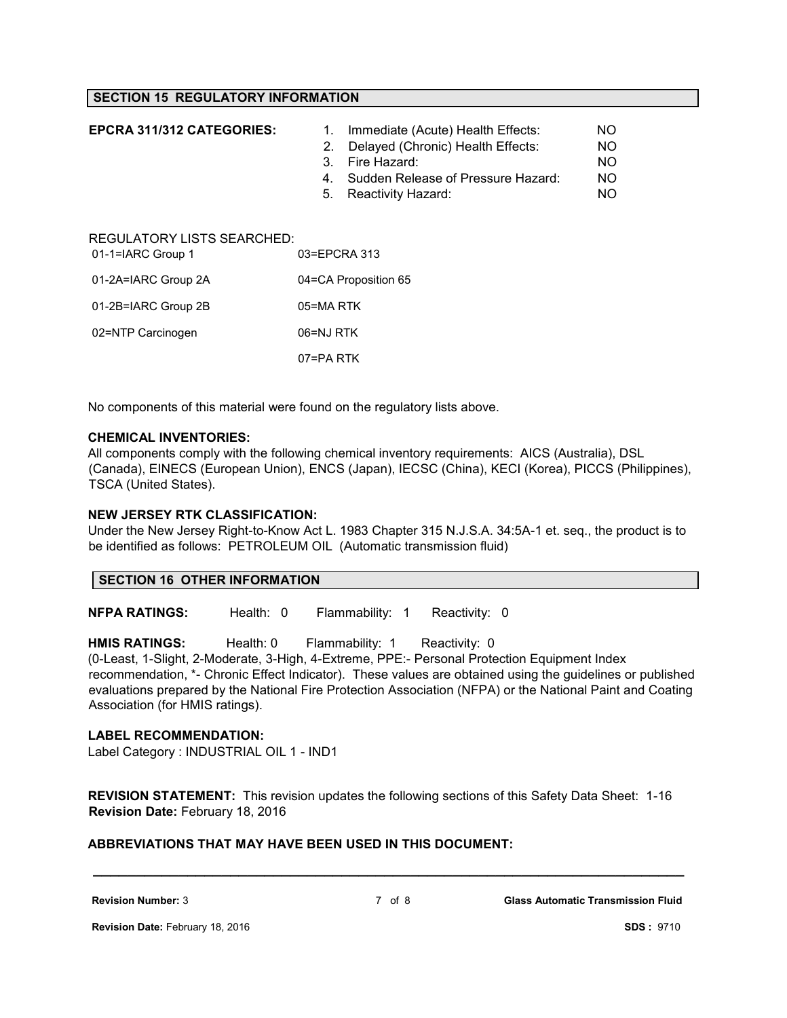# **SECTION 15 REGULATORY INFORMATION**

| <b>EPCRA 311/312 CATEGORIES:</b>                       | 1.<br>2.<br>3.<br>4.<br>5. | Immediate (Acute) Health Effects:<br>Delayed (Chronic) Health Effects:<br>Fire Hazard:<br>Sudden Release of Pressure Hazard:<br>Reactivity Hazard: | NO.<br>NO.<br>NO.<br>NO.<br>NO. |
|--------------------------------------------------------|----------------------------|----------------------------------------------------------------------------------------------------------------------------------------------------|---------------------------------|
| <b>REGULATORY LISTS SEARCHED:</b><br>01-1=IARC Group 1 | 03=EPCRA 313               |                                                                                                                                                    |                                 |
| 01-2A=IARC Group 2A                                    | 04=CA Proposition 65       |                                                                                                                                                    |                                 |
| 01-2B=IARC Group 2B                                    | 05=MA RTK                  |                                                                                                                                                    |                                 |
| 02=NTP Carcinogen                                      | 06=NJ RTK                  |                                                                                                                                                    |                                 |
|                                                        | 07=PA RTK                  |                                                                                                                                                    |                                 |

No components of this material were found on the regulatory lists above.

#### **CHEMICAL INVENTORIES:**

All components comply with the following chemical inventory requirements: AICS (Australia), DSL (Canada), EINECS (European Union), ENCS (Japan), IECSC (China), KECI (Korea), PICCS (Philippines), TSCA (United States).

#### **NEW JERSEY RTK CLASSIFICATION:**

Under the New Jersey Right-to-Know Act L. 1983 Chapter 315 N.J.S.A. 34:5A-1 et. seq., the product is to be identified as follows: PETROLEUM OIL (Automatic transmission fluid)

### **SECTION 16 OTHER INFORMATION**

**NFPA RATINGS:** Health: 0 Flammability: 1 Reactivity: 0

**HMIS RATINGS:** Health: 0 Flammability: 1 Reactivity: 0 (0-Least, 1-Slight, 2-Moderate, 3-High, 4-Extreme, PPE:- Personal Protection Equipment Index recommendation, \*- Chronic Effect Indicator). These values are obtained using the guidelines or published evaluations prepared by the National Fire Protection Association (NFPA) or the National Paint and Coating Association (for HMIS ratings).

### **LABEL RECOMMENDATION:**

Label Category : INDUSTRIAL OIL 1 - IND1

**REVISION STATEMENT:** This revision updates the following sections of this Safety Data Sheet: 1-16 **Revision Date:** February 18, 2016

# **ABBREVIATIONS THAT MAY HAVE BEEN USED IN THIS DOCUMENT:**